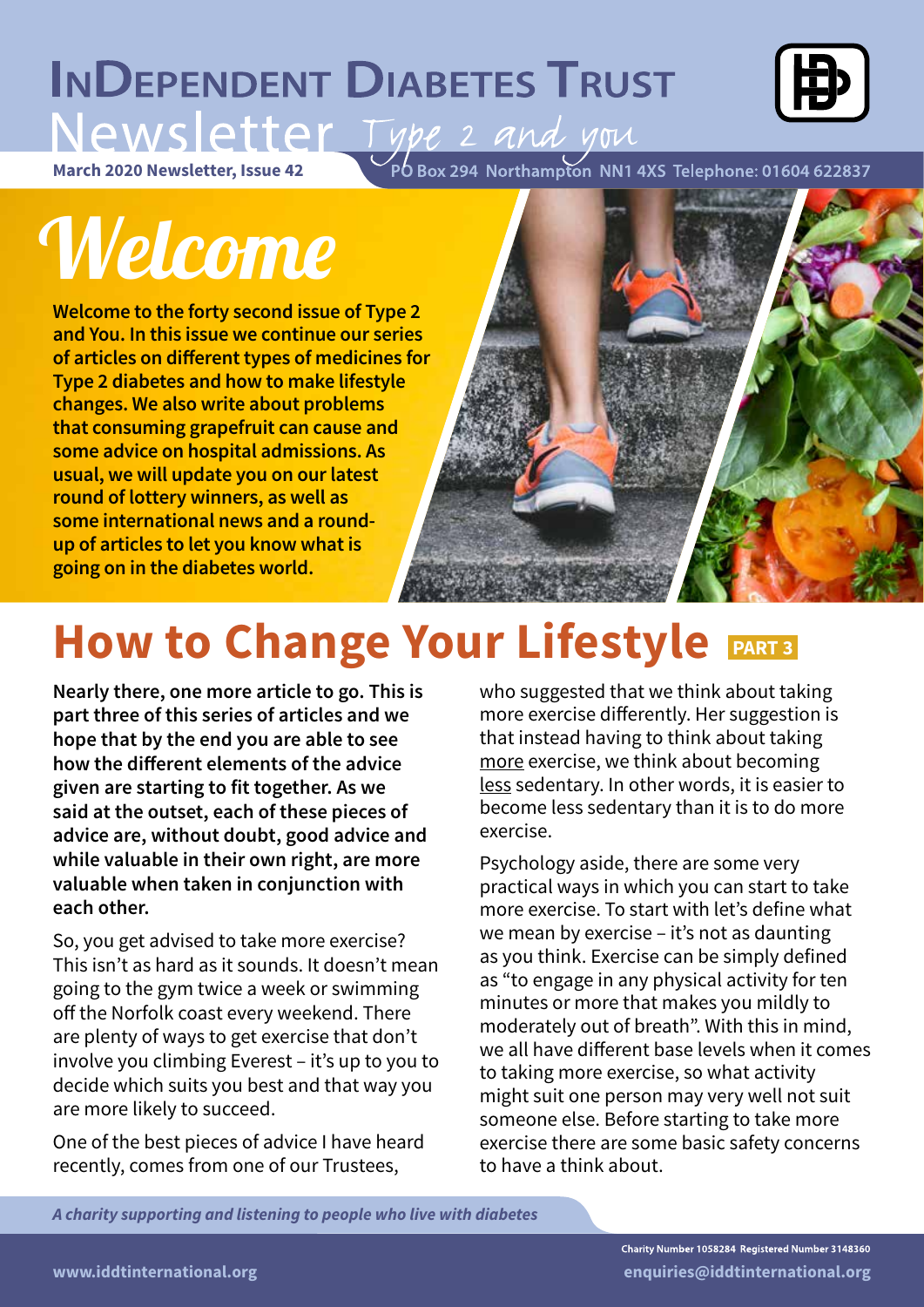### **INDEPENDENT DIABETES TRUST**



Newsletter, Issue 42<br>March 2020 Newsletter, Issue 42<br>PO Box 294 Northampton NN1 4XS Telephone: 01604 622837

## Welcome

**Welcome to the forty second issue of Type 2 and You. In this issue we continue our series of articles on different types of medicines for Type 2 diabetes and how to make lifestyle changes. We also write about problems that consuming grapefruit can cause and some advice on hospital admissions. As usual, we will update you on our latest round of lottery winners, as well as some international news and a roundup of articles to let you know what is going on in the diabetes world.**



### **How to Change Your Lifestyle PART3**

**Nearly there, one more article to go. This is part three of this series of articles and we hope that by the end you are able to see how the different elements of the advice given are starting to fit together. As we said at the outset, each of these pieces of advice are, without doubt, good advice and while valuable in their own right, are more valuable when taken in conjunction with each other.**

So, you get advised to take more exercise? This isn't as hard as it sounds. It doesn't mean going to the gym twice a week or swimming off the Norfolk coast every weekend. There are plenty of ways to get exercise that don't involve you climbing Everest – it's up to you to decide which suits you best and that way you are more likely to succeed.

One of the best pieces of advice I have heard recently, comes from one of our Trustees,

who suggested that we think about taking more exercise differently. Her suggestion is that instead having to think about taking more exercise, we think about becoming less sedentary. In other words, it is easier to become less sedentary than it is to do more exercise.

Psychology aside, there are some very practical ways in which you can start to take more exercise. To start with let's define what we mean by exercise – it's not as daunting as you think. Exercise can be simply defined as "to engage in any physical activity for ten minutes or more that makes you mildly to moderately out of breath". With this in mind, we all have different base levels when it comes to taking more exercise, so what activity might suit one person may very well not suit someone else. Before starting to take more exercise there are some basic safety concerns to have a think about.

*A charity supporting and listening to people who live with diabetes*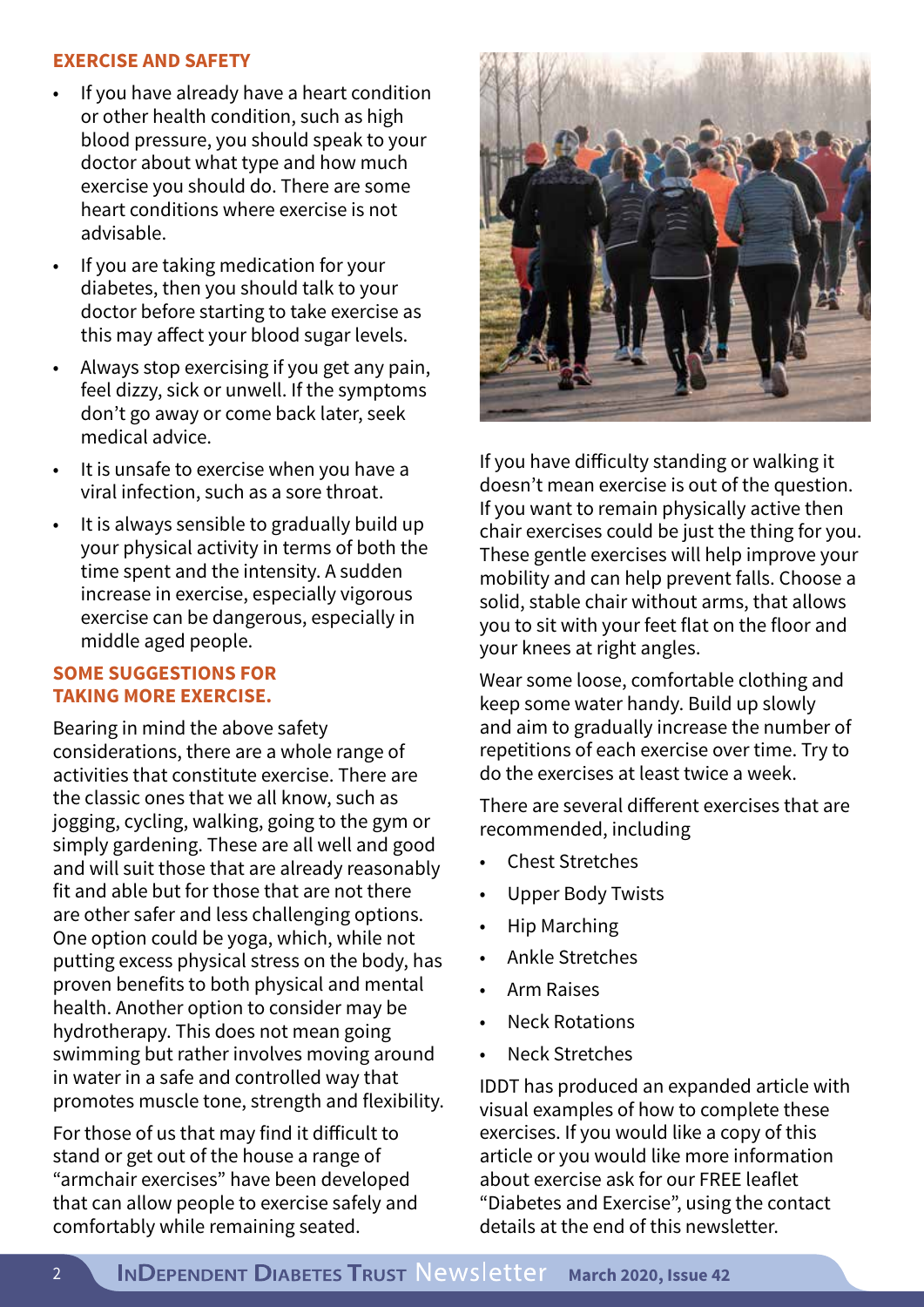#### **EXERCISE AND SAFETY**

- If you have already have a heart condition or other health condition, such as high blood pressure, you should speak to your doctor about what type and how much exercise you should do. There are some heart conditions where exercise is not advisable.
- If you are taking medication for your diabetes, then you should talk to your doctor before starting to take exercise as this may affect your blood sugar levels.
- Always stop exercising if you get any pain, feel dizzy, sick or unwell. If the symptoms don't go away or come back later, seek medical advice.
- It is unsafe to exercise when you have a viral infection, such as a sore throat.
- It is always sensible to gradually build up your physical activity in terms of both the time spent and the intensity. A sudden increase in exercise, especially vigorous exercise can be dangerous, especially in middle aged people.

#### **SOME SUGGESTIONS FOR TAKING MORE EXERCISE.**

Bearing in mind the above safety considerations, there are a whole range of activities that constitute exercise. There are the classic ones that we all know, such as jogging, cycling, walking, going to the gym or simply gardening. These are all well and good and will suit those that are already reasonably fit and able but for those that are not there are other safer and less challenging options. One option could be yoga, which, while not putting excess physical stress on the body, has proven benefits to both physical and mental health. Another option to consider may be hydrotherapy. This does not mean going swimming but rather involves moving around in water in a safe and controlled way that promotes muscle tone, strength and flexibility.

For those of us that may find it difficult to stand or get out of the house a range of "armchair exercises" have been developed that can allow people to exercise safely and comfortably while remaining seated.



If you have difficulty standing or walking it doesn't mean exercise is out of the question. If you want to remain physically active then chair exercises could be just the thing for you. These gentle exercises will help improve your mobility and can help prevent falls. Choose a solid, stable chair without arms, that allows you to sit with your feet flat on the floor and your knees at right angles.

Wear some loose, comfortable clothing and keep some water handy. Build up slowly and aim to gradually increase the number of repetitions of each exercise over time. Try to do the exercises at least twice a week.

There are several different exercises that are recommended, including

- Chest Stretches
- Upper Body Twists
- Hip Marching
- Ankle Stretches
- Arm Raises
- **Neck Rotations**
- **Neck Stretches**

IDDT has produced an expanded article with visual examples of how to complete these exercises. If you would like a copy of this article or you would like more information about exercise ask for our FREE leaflet "Diabetes and Exercise", using the contact details at the end of this newsletter.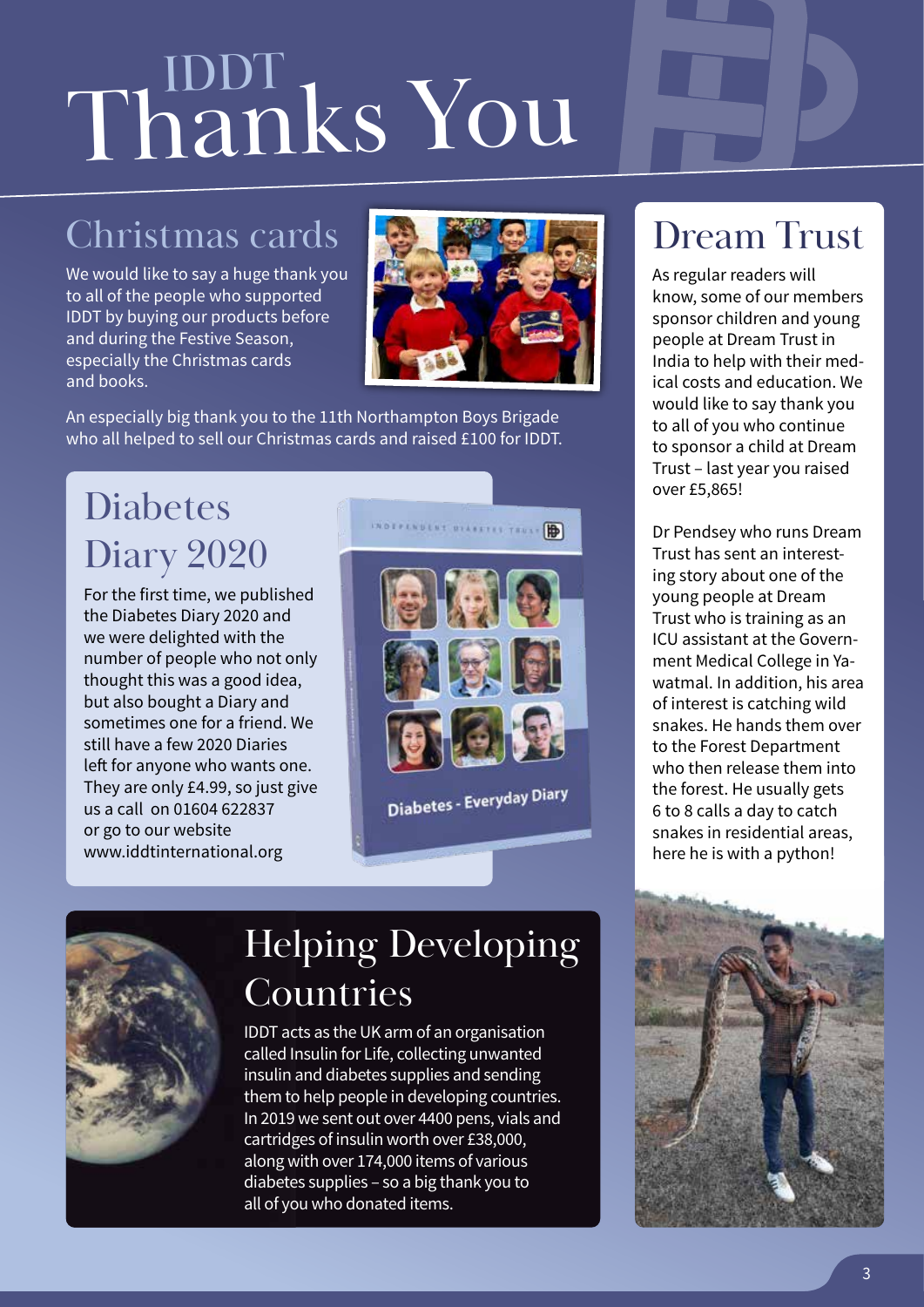# Thanks You

### Christmas cards

We would like to say a huge thank you to all of the people who supported IDDT by buying our products before and during the Festive Season, especially the Christmas cards and books.



An especially big thank you to the 11th Northampton Boys Brigade who all helped to sell our Christmas cards and raised £100 for IDDT.

### Diabetes Diary 2020

For the first time, we published the Diabetes Diary 2020 and we were delighted with the number of people who not only thought this was a good idea, but also bought a Diary and sometimes one for a friend. We still have a few 2020 Diaries left for anyone who wants one. They are only £4.99, so just give us a call on 01604 622837 or go to our website www.iddtinternational.org



### Dream Trust

As regular readers will know, some of our members sponsor children and young people at Dream Trust in India to help with their medical costs and education. We would like to say thank you to all of you who continue to sponsor a child at Dream Trust – last year you raised over £5,865!

Dr Pendsey who runs Dream Trust has sent an interesting story about one of the young people at Dream Trust who is training as an ICU assistant at the Government Medical College in Yawatmal. In addition, his area of interest is catching wild snakes. He hands them over to the Forest Department who then release them into the forest. He usually gets 6 to 8 calls a day to catch snakes in residential areas, here he is with a python!



### Helping Developing Countries

IDDT acts as the UK arm of an organisation called Insulin for Life, collecting unwanted insulin and diabetes supplies and sending them to help people in developing countries. In 2019 we sent out over 4400 pens, vials and cartridges of insulin worth over £38,000, along with over 174,000 items of various diabetes supplies – so a big thank you to all of you who donated items.

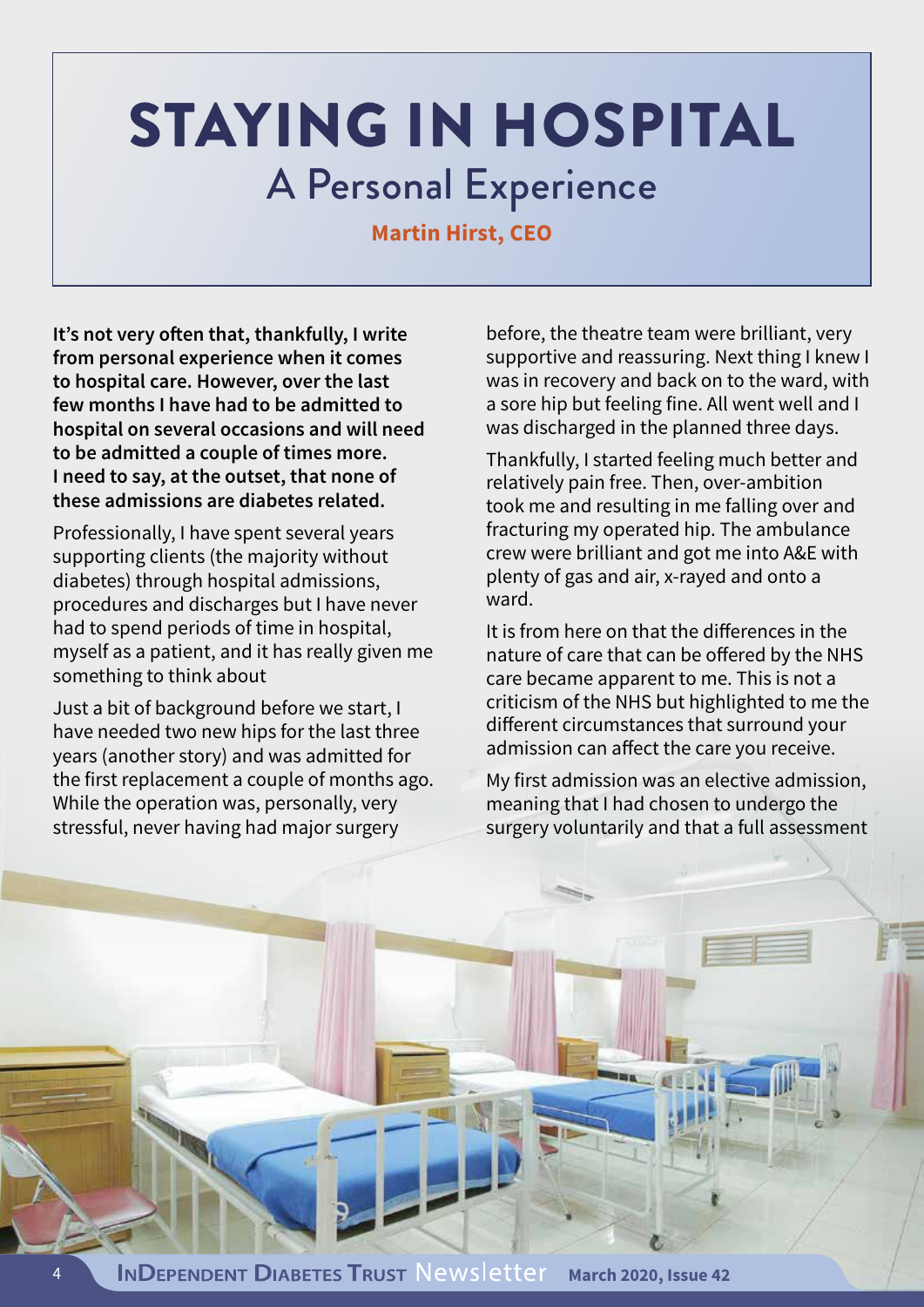### STAYING IN HOSPITAL A Personal Experience

### **Martin Hirst, CEO**

**It's not very often that, thankfully, I write from personal experience when it comes to hospital care. However, over the last few months I have had to be admitted to hospital on several occasions and will need to be admitted a couple of times more. I need to say, at the outset, that none of these admissions are diabetes related.** 

Professionally, I have spent several years supporting clients (the majority without diabetes) through hospital admissions, procedures and discharges but I have never had to spend periods of time in hospital, myself as a patient, and it has really given me something to think about

Just a bit of background before we start, I have needed two new hips for the last three years (another story) and was admitted for the first replacement a couple of months ago. While the operation was, personally, very stressful, never having had major surgery

before, the theatre team were brilliant, very supportive and reassuring. Next thing I knew I was in recovery and back on to the ward, with a sore hip but feeling fine. All went well and I was discharged in the planned three days.

Thankfully, I started feeling much better and relatively pain free. Then, over-ambition took me and resulting in me falling over and fracturing my operated hip. The ambulance crew were brilliant and got me into A&E with plenty of gas and air, x-rayed and onto a ward.

It is from here on that the differences in the nature of care that can be offered by the NHS care became apparent to me. This is not a criticism of the NHS but highlighted to me the different circumstances that surround your admission can affect the care you receive.

My first admission was an elective admission, meaning that I had chosen to undergo the surgery voluntarily and that a full assessment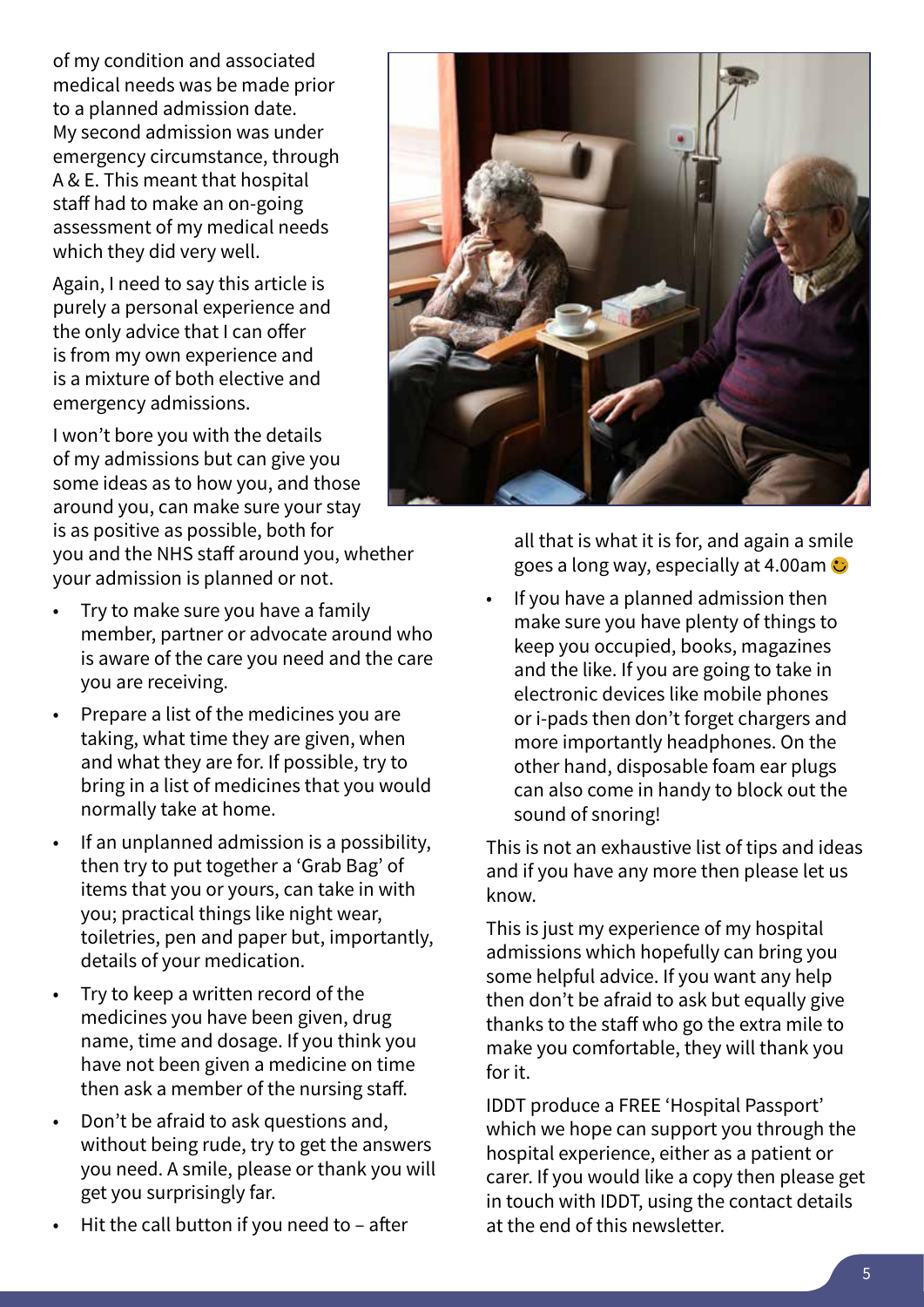of my condition and associated medical needs was be made prior to a planned admission date. My second admission was under emergency circumstance, through A & E. This meant that hospital staff had to make an on-going assessment of my medical needs which they did very well.

Again, I need to say this article is purely a personal experience and the only advice that I can offer is from my own experience and is a mixture of both elective and emergency admissions.

I won't bore you with the details of my admissions but can give you some ideas as to how you, and those around you, can make sure your stay is as positive as possible, both for you and the NHS staff around you, whether your admission is planned or not.

- Try to make sure you have a family member, partner or advocate around who is aware of the care you need and the care you are receiving.
- Prepare a list of the medicines you are taking, what time they are given, when and what they are for. If possible, try to bring in a list of medicines that you would normally take at home.
- If an unplanned admission is a possibility, then try to put together a 'Grab Bag' of items that you or yours, can take in with you; practical things like night wear, toiletries, pen and paper but, importantly, details of your medication.
- Try to keep a written record of the medicines you have been given, drug name, time and dosage. If you think you have not been given a medicine on time then ask a member of the nursing staff.
- Don't be afraid to ask questions and, without being rude, try to get the answers you need. A smile, please or thank you will get you surprisingly far.
- Hit the call button if you need to  $-$  after



all that is what it is for, and again a smile goes a long way, especially at 4.00am  $\bullet$ 

• If you have a planned admission then make sure you have plenty of things to keep you occupied, books, magazines and the like. If you are going to take in electronic devices like mobile phones or i-pads then don't forget chargers and more importantly headphones. On the other hand, disposable foam ear plugs can also come in handy to block out the sound of snoring!

This is not an exhaustive list of tips and ideas and if you have any more then please let us know.

This is just my experience of my hospital admissions which hopefully can bring you some helpful advice. If you want any help then don't be afraid to ask but equally give thanks to the staff who go the extra mile to make you comfortable, they will thank you for it.

IDDT produce a FREE 'Hospital Passport' which we hope can support you through the hospital experience, either as a patient or carer. If you would like a copy then please get in touch with IDDT, using the contact details at the end of this newsletter.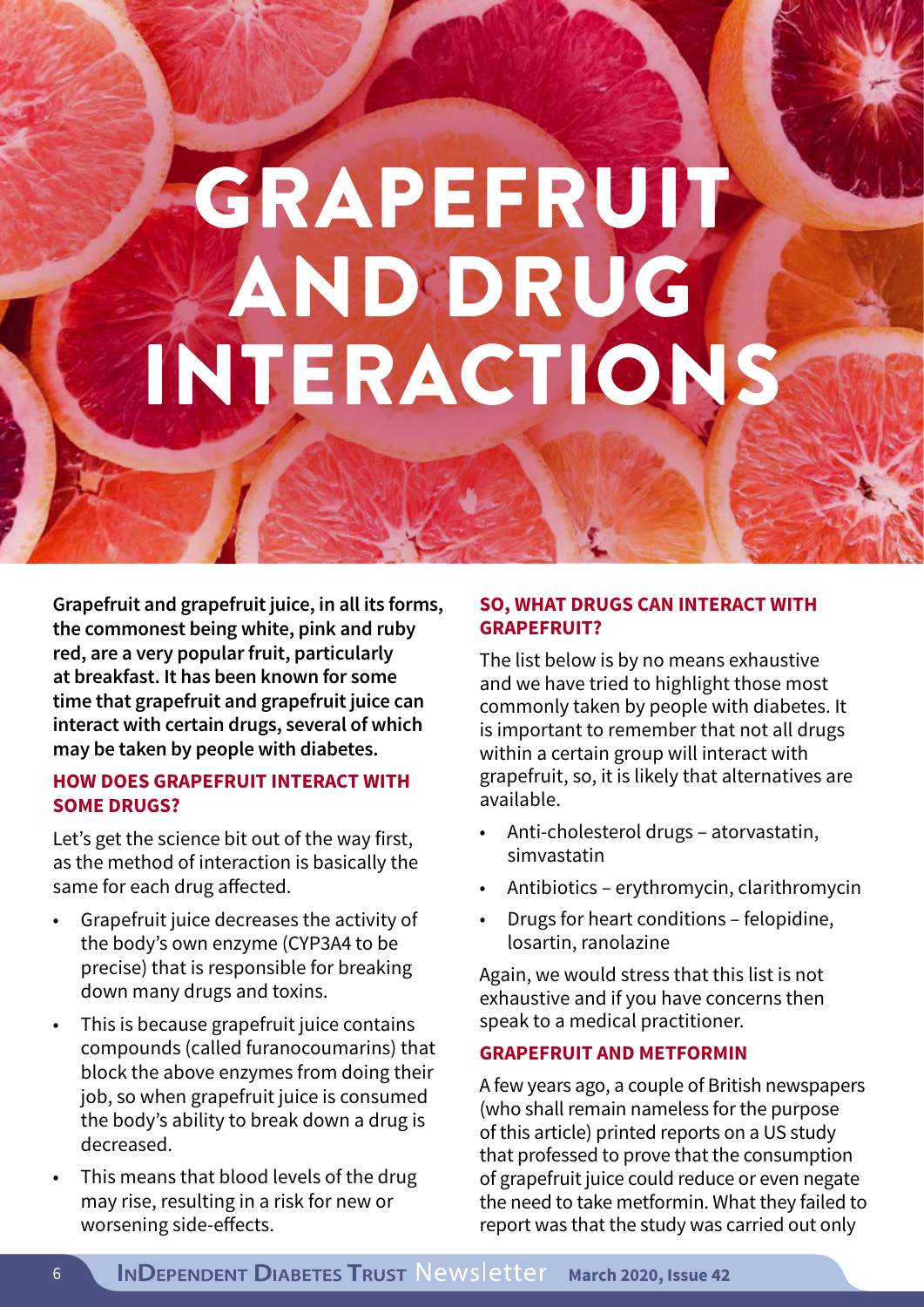## GRAPEFRUIT **AND DRUG** INTERACTIONS

**Grapefruit and grapefruit juice, in all its forms, the commonest being white, pink and ruby red, are a very popular fruit, particularly at breakfast. It has been known for some time that grapefruit and grapefruit juice can interact with certain drugs, several of which may be taken by people with diabetes.**

#### **HOW DOES GRAPEFRUIT INTERACT WITH SOME DRUGS?**

Let's get the science bit out of the way first, as the method of interaction is basically the same for each drug affected.

- Grapefruit juice decreases the activity of the body's own enzyme (CYP3A4 to be precise) that is responsible for breaking down many drugs and toxins.
- This is because grapefruit juice contains compounds (called furanocoumarins) that block the above enzymes from doing their job, so when grapefruit juice is consumed the body's ability to break down a drug is decreased.
- This means that blood levels of the drug may rise, resulting in a risk for new or worsening side-effects.

### **SO, WHAT DRUGS CAN INTERACT WITH GRAPEFRUIT?**

The list below is by no means exhaustive and we have tried to highlight those most commonly taken by people with diabetes. It is important to remember that not all drugs within a certain group will interact with grapefruit, so, it is likely that alternatives are available.

- Anti-cholesterol drugs atorvastatin, simvastatin
- Antibiotics erythromycin, clarithromycin
- Drugs for heart conditions felopidine, losartin, ranolazine

Again, we would stress that this list is not exhaustive and if you have concerns then speak to a medical practitioner.

#### **GRAPEFRUIT AND METFORMIN**

A few years ago, a couple of British newspapers (who shall remain nameless for the purpose of this article) printed reports on a US study that professed to prove that the consumption of grapefruit juice could reduce or even negate the need to take metformin. What they failed to report was that the study was carried out only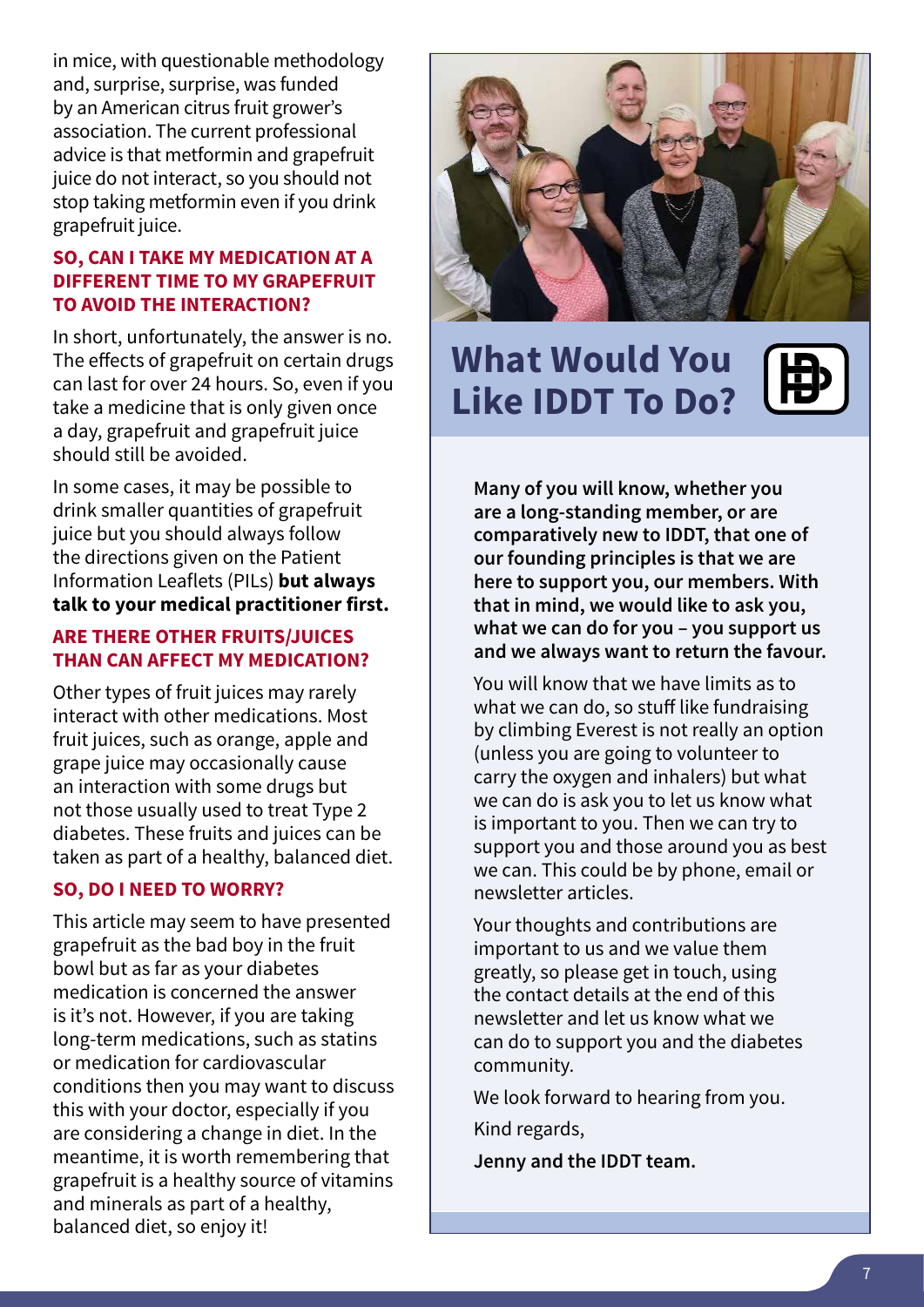in mice, with questionable methodology and, surprise, surprise, was funded by an American citrus fruit grower's association. The current professional advice is that metformin and grapefruit juice do not interact, so you should not stop taking metformin even if you drink grapefruit juice.

### **SO, CAN I TAKE MY MEDICATION AT A DIFFERENT TIME TO MY GRAPEFRUIT TO AVOID THE INTERACTION?**

In short, unfortunately, the answer is no. The effects of grapefruit on certain drugs can last for over 24 hours. So, even if you take a medicine that is only given once a day, grapefruit and grapefruit juice should still be avoided.

In some cases, it may be possible to drink smaller quantities of grapefruit juice but you should always follow the directions given on the Patient Information Leaflets (PILs) **but always talk to your medical practitioner first.**

#### **ARE THERE OTHER FRUITS/JUICES THAN CAN AFFECT MY MEDICATION?**

Other types of fruit juices may rarely interact with other medications. Most fruit juices, such as orange, apple and grape juice may occasionally cause an interaction with some drugs but not those usually used to treat Type 2 diabetes. These fruits and juices can be taken as part of a healthy, balanced diet.

### **SO, DO I NEED TO WORRY?**

This article may seem to have presented grapefruit as the bad boy in the fruit bowl but as far as your diabetes medication is concerned the answer is it's not. However, if you are taking long-term medications, such as statins or medication for cardiovascular conditions then you may want to discuss this with your doctor, especially if you are considering a change in diet. In the meantime, it is worth remembering that grapefruit is a healthy source of vitamins and minerals as part of a healthy, balanced diet, so enjoy it!



### **What Would You Like IDDT To Do?**



**Many of you will know, whether you are a long-standing member, or are comparatively new to IDDT, that one of our founding principles is that we are here to support you, our members. With that in mind, we would like to ask you, what we can do for you – you support us and we always want to return the favour.**

You will know that we have limits as to what we can do, so stuff like fundraising by climbing Everest is not really an option (unless you are going to volunteer to carry the oxygen and inhalers) but what we can do is ask you to let us know what is important to you. Then we can try to support you and those around you as best we can. This could be by phone, email or newsletter articles.

Your thoughts and contributions are important to us and we value them greatly, so please get in touch, using the contact details at the end of this newsletter and let us know what we can do to support you and the diabetes community.

We look forward to hearing from you.

Kind regards,

**Jenny and the IDDT team.**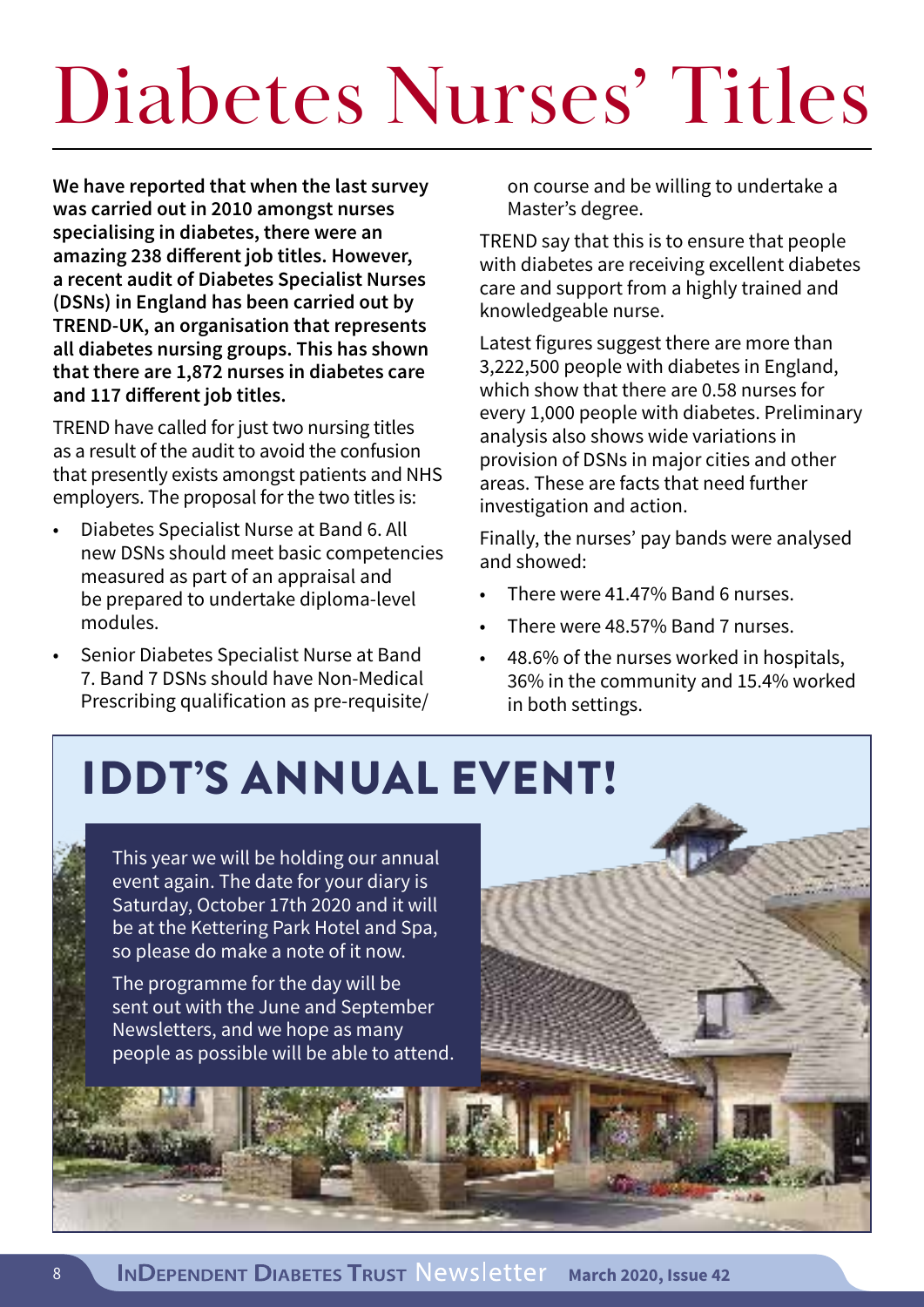## Diabetes Nurses' Titles

**We have reported that when the last survey was carried out in 2010 amongst nurses specialising in diabetes, there were an amazing 238 different job titles. However, a recent audit of Diabetes Specialist Nurses (DSNs) in England has been carried out by TREND-UK, an organisation that represents all diabetes nursing groups. This has shown that there are 1,872 nurses in diabetes care and 117 different job titles.**

TREND have called for just two nursing titles as a result of the audit to avoid the confusion that presently exists amongst patients and NHS employers. The proposal for the two titles is:

- Diabetes Specialist Nurse at Band 6. All new DSNs should meet basic competencies measured as part of an appraisal and be prepared to undertake diploma-level modules.
- Senior Diabetes Specialist Nurse at Band 7. Band 7 DSNs should have Non-Medical Prescribing qualification as pre-requisite/

on course and be willing to undertake a Master's degree.

TREND say that this is to ensure that people with diabetes are receiving excellent diabetes care and support from a highly trained and knowledgeable nurse.

Latest figures suggest there are more than 3,222,500 people with diabetes in England, which show that there are 0.58 nurses for every 1,000 people with diabetes. Preliminary analysis also shows wide variations in provision of DSNs in major cities and other areas. These are facts that need further investigation and action.

Finally, the nurses' pay bands were analysed and showed:

- There were 41.47% Band 6 nurses.
- There were 48.57% Band 7 nurses.
- 48.6% of the nurses worked in hospitals, 36% in the community and 15.4% worked in both settings.

### IDDT'S ANNUAL EVENT!

This year we will be holding our annual event again. The date for your diary is Saturday, October 17th 2020 and it will be at the Kettering Park Hotel and Spa, so please do make a note of it now.

The programme for the day will be sent out with the June and September Newsletters, and we hope as many people as possible will be able to attend.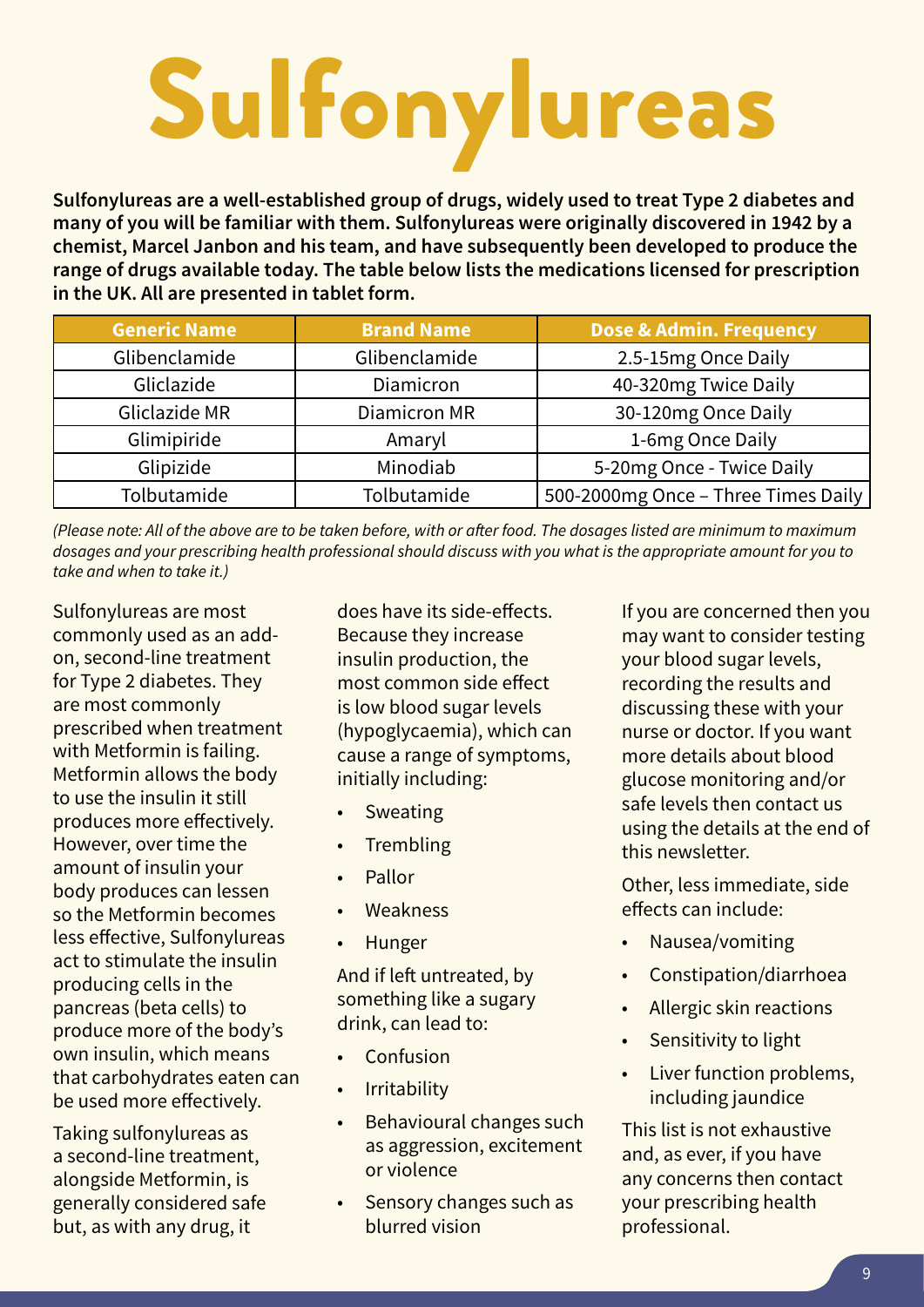# Sulfonylureas

**Sulfonylureas are a well-established group of drugs, widely used to treat Type 2 diabetes and many of you will be familiar with them. Sulfonylureas were originally discovered in 1942 by a chemist, Marcel Janbon and his team, and have subsequently been developed to produce the range of drugs available today. The table below lists the medications licensed for prescription in the UK. All are presented in tablet form.**

| <b>Generic Name</b> | <b>Brand Name</b>   | Dose & Admin. Frequency             |
|---------------------|---------------------|-------------------------------------|
| Glibenclamide       | Glibenclamide       | 2.5-15mg Once Daily                 |
| Gliclazide          | Diamicron           | 40-320mg Twice Daily                |
| Gliclazide MR       | <b>Diamicron MR</b> | 30-120mg Once Daily                 |
| Glimipiride         | Amaryl              | 1-6mg Once Daily                    |
| Glipizide           | Minodiab            | 5-20mg Once - Twice Daily           |
| Tolbutamide         | Tolbutamide         | 500-2000mg Once - Three Times Daily |

*(Please note: All of the above are to be taken before, with or after food. The dosages listed are minimum to maximum dosages and your prescribing health professional should discuss with you what is the appropriate amount for you to take and when to take it.)*

Sulfonylureas are most commonly used as an addon, second-line treatment for Type 2 diabetes. They are most commonly prescribed when treatment with Metformin is failing. Metformin allows the body to use the insulin it still produces more effectively. However, over time the amount of insulin your body produces can lessen so the Metformin becomes less effective, Sulfonylureas act to stimulate the insulin producing cells in the pancreas (beta cells) to produce more of the body's own insulin, which means that carbohydrates eaten can be used more effectively.

Taking sulfonylureas as a second-line treatment, alongside Metformin, is generally considered safe but, as with any drug, it

does have its side-effects. Because they increase insulin production, the most common side effect is low blood sugar levels (hypoglycaemia), which can cause a range of symptoms, initially including:

- Sweating
- **Trembling**
- Pallor
- **Weakness**
- **Hunger**

And if left untreated, by something like a sugary drink, can lead to:

- **Confusion**
- Irritability
- Behavioural changes such as aggression, excitement or violence
- Sensory changes such as blurred vision

If you are concerned then you may want to consider testing your blood sugar levels, recording the results and discussing these with your nurse or doctor. If you want more details about blood glucose monitoring and/or safe levels then contact us using the details at the end of this newsletter.

Other, less immediate, side effects can include:

- Nausea/vomiting
- Constipation/diarrhoea
- Allergic skin reactions
- Sensitivity to light
- Liver function problems, including jaundice

This list is not exhaustive and, as ever, if you have any concerns then contact your prescribing health professional.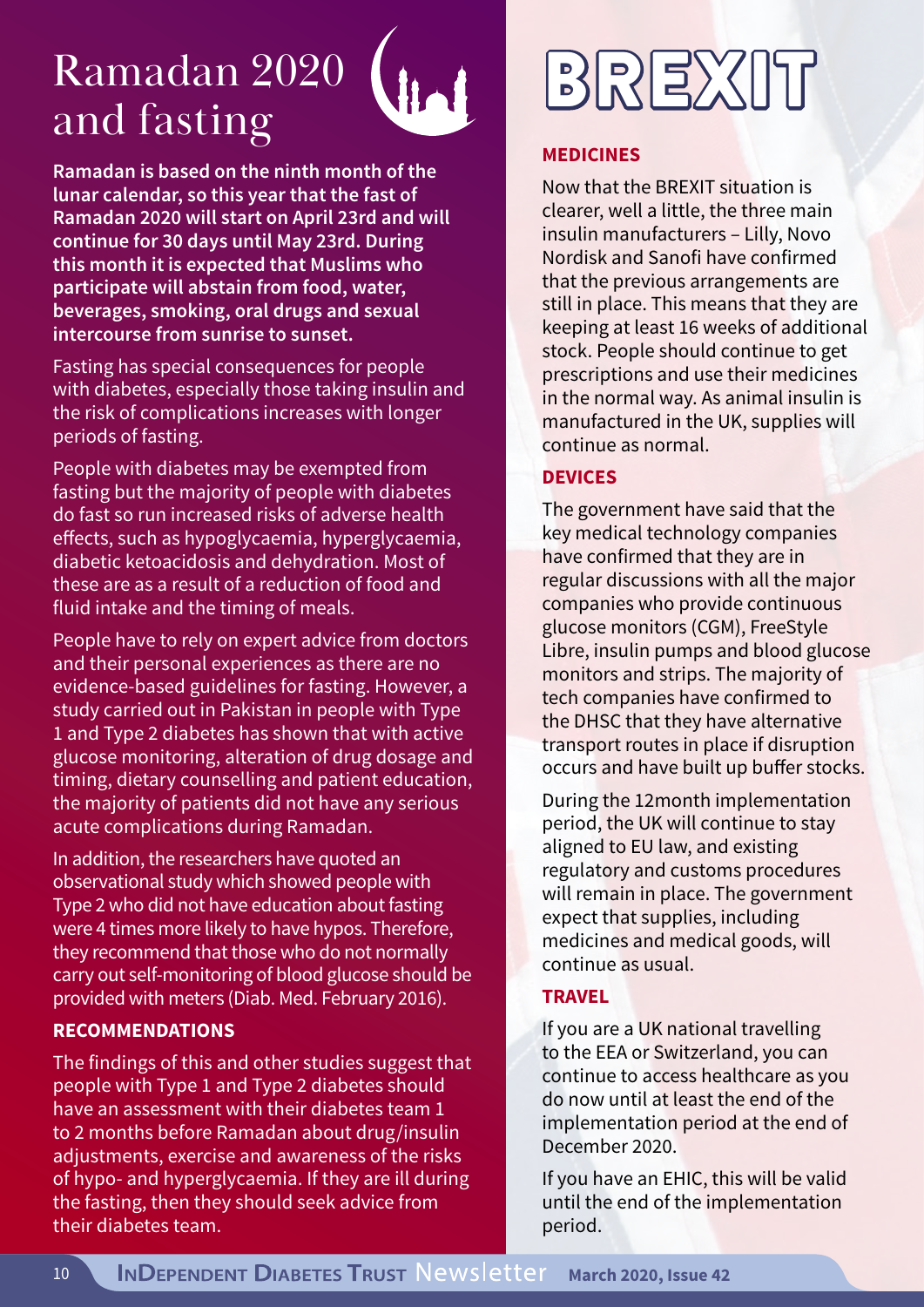### Ramadan 2020 and fasting



**Ramadan is based on the ninth month of the lunar calendar, so this year that the fast of Ramadan 2020 will start on April 23rd and will continue for 30 days until May 23rd. During this month it is expected that Muslims who participate will abstain from food, water, beverages, smoking, oral drugs and sexual intercourse from sunrise to sunset.** 

Fasting has special consequences for people with diabetes, especially those taking insulin and the risk of complications increases with longer periods of fasting.

People with diabetes may be exempted from fasting but the majority of people with diabetes do fast so run increased risks of adverse health effects, such as hypoglycaemia, hyperglycaemia, diabetic ketoacidosis and dehydration. Most of these are as a result of a reduction of food and fluid intake and the timing of meals.

People have to rely on expert advice from doctors and their personal experiences as there are no evidence-based guidelines for fasting. However, a study carried out in Pakistan in people with Type 1 and Type 2 diabetes has shown that with active glucose monitoring, alteration of drug dosage and timing, dietary counselling and patient education, the majority of patients did not have any serious acute complications during Ramadan.

In addition, the researchers have quoted an observational study which showed people with Type 2 who did not have education about fasting were 4 times more likely to have hypos. Therefore, they recommend that those who do not normally carry out self-monitoring of blood glucose should be provided with meters (Diab. Med. February 2016).

### **RECOMMENDATIONS**

The findings of this and other studies suggest that people with Type 1 and Type 2 diabetes should have an assessment with their diabetes team 1 to 2 months before Ramadan about drug/insulin adjustments, exercise and awareness of the risks of hypo- and hyperglycaemia. If they are ill during the fasting, then they should seek advice from their diabetes team.

## BREXIT

#### **MEDICINES**

Now that the BREXIT situation is clearer, well a little, the three main insulin manufacturers – Lilly, Novo Nordisk and Sanofi have confirmed that the previous arrangements are still in place. This means that they are keeping at least 16 weeks of additional stock. People should continue to get prescriptions and use their medicines in the normal way. As animal insulin is manufactured in the UK, supplies will continue as normal.

#### **DEVICES**

The government have said that the key medical technology companies have confirmed that they are in regular discussions with all the major companies who provide continuous glucose monitors (CGM), FreeStyle Libre, insulin pumps and blood glucose monitors and strips. The majority of tech companies have confirmed to the DHSC that they have alternative transport routes in place if disruption occurs and have built up buffer stocks.

During the 12month implementation period, the UK will continue to stay aligned to EU law, and existing regulatory and customs procedures will remain in place. The government expect that supplies, including medicines and medical goods, will continue as usual.

### **TRAVEL**

If you are a UK national travelling to the EEA or Switzerland, you can continue to access healthcare as you do now until at least the end of the implementation period at the end of December 2020.

If you have an EHIC, this will be valid until the end of the implementation period.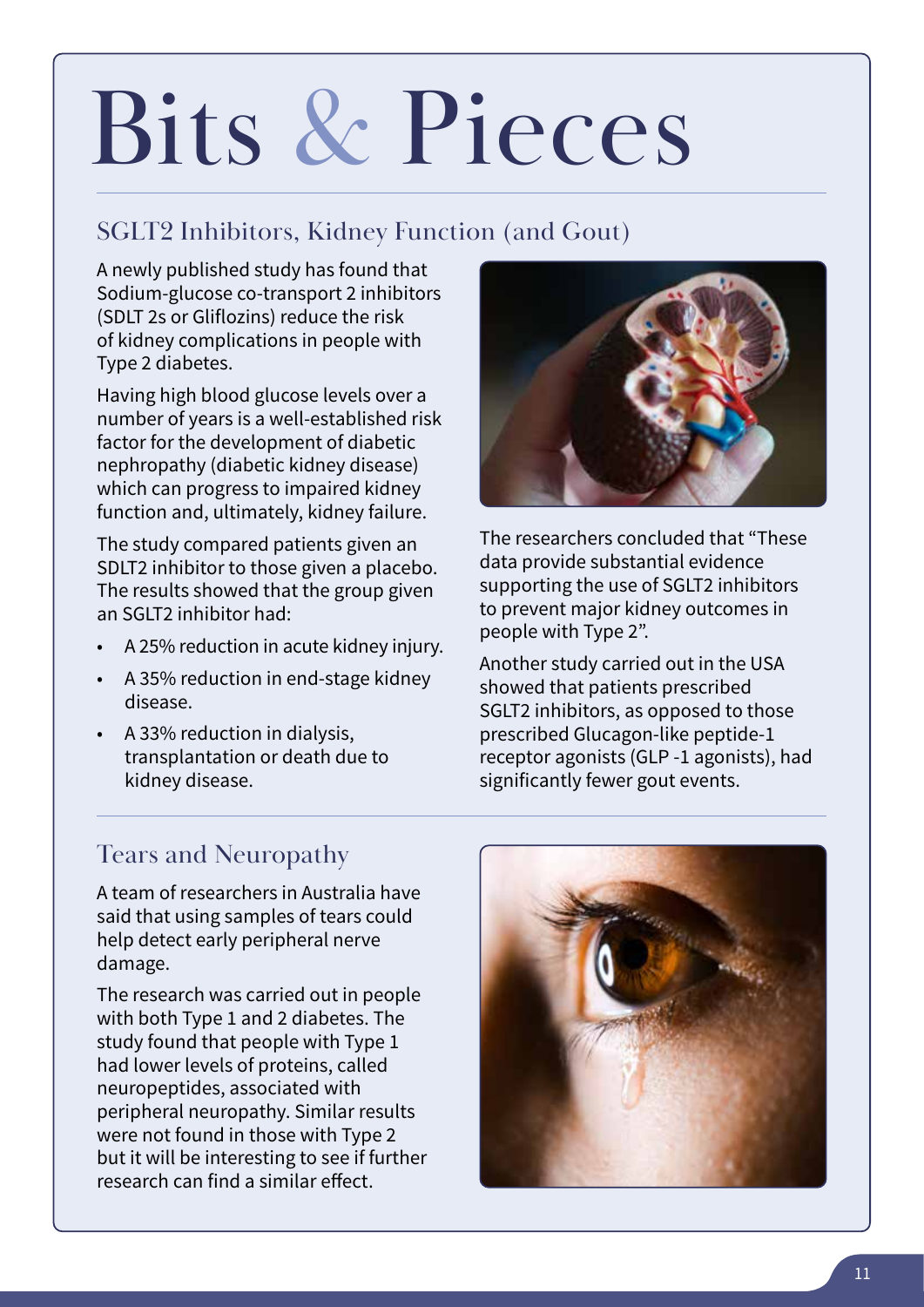## Bits & Pieces

### SGLT2 Inhibitors, Kidney Function (and Gout)

A newly published study has found that Sodium-glucose co-transport 2 inhibitors (SDLT 2s or Gliflozins) reduce the risk of kidney complications in people with Type 2 diabetes.

Having high blood glucose levels over a number of years is a well-established risk factor for the development of diabetic nephropathy (diabetic kidney disease) which can progress to impaired kidney function and, ultimately, kidney failure.

The study compared patients given an SDLT2 inhibitor to those given a placebo. The results showed that the group given an SGLT2 inhibitor had:

- A 25% reduction in acute kidney injury.
- A 35% reduction in end-stage kidney disease.
- A 33% reduction in dialysis, transplantation or death due to kidney disease.



The researchers concluded that "These data provide substantial evidence supporting the use of SGLT2 inhibitors to prevent major kidney outcomes in people with Type 2".

Another study carried out in the USA showed that patients prescribed SGLT2 inhibitors, as opposed to those prescribed Glucagon-like peptide-1 receptor agonists (GLP -1 agonists), had significantly fewer gout events.

### Tears and Neuropathy

A team of researchers in Australia have said that using samples of tears could help detect early peripheral nerve damage.

The research was carried out in people with both Type 1 and 2 diabetes. The study found that people with Type 1 had lower levels of proteins, called neuropeptides, associated with peripheral neuropathy. Similar results were not found in those with Type 2 but it will be interesting to see if further research can find a similar effect.